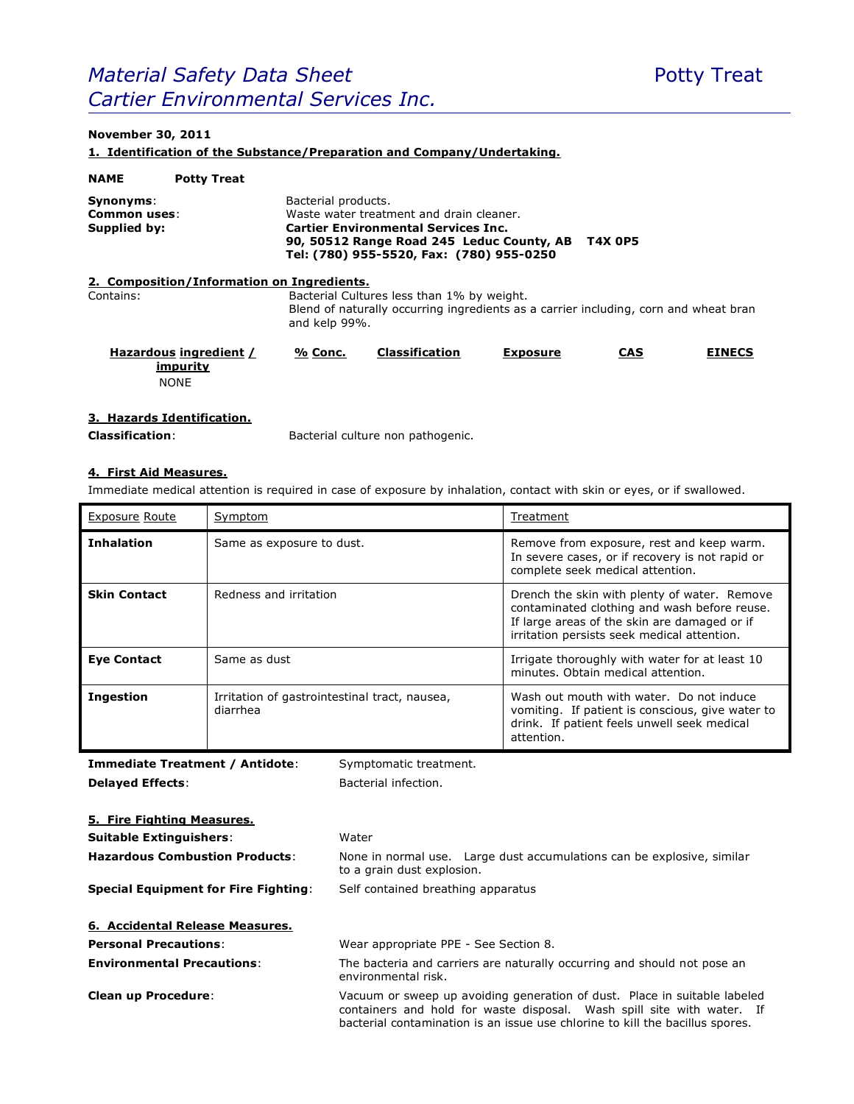# *Material Safety Data Sheet* **Potty Treat** Potty Treat *Cartier Environmental Services Inc.*

# **November 30, 2011**

**1. Identification of the Substance/Preparation and Company/Undertaking.**

| <b>NAME</b>                               | <b>Potty Treat</b>                                |                                                                                                                                                     |                                                                                                                                                                                 |                 |                |               |
|-------------------------------------------|---------------------------------------------------|-----------------------------------------------------------------------------------------------------------------------------------------------------|---------------------------------------------------------------------------------------------------------------------------------------------------------------------------------|-----------------|----------------|---------------|
| Synonyms:<br>Common uses:<br>Supplied by: |                                                   | Bacterial products.                                                                                                                                 | Waste water treatment and drain cleaner.<br><b>Cartier Environmental Services Inc.</b><br>90, 50512 Range Road 245 Leduc County, AB<br>Tel: (780) 955-5520, Fax: (780) 955-0250 |                 | <b>T4X 0P5</b> |               |
|                                           | 2. Composition/Information on Ingredients.        |                                                                                                                                                     |                                                                                                                                                                                 |                 |                |               |
| Contains:                                 |                                                   | Bacterial Cultures less than 1% by weight.<br>Blend of naturally occurring ingredients as a carrier including, corn and wheat bran<br>and kelp 99%. |                                                                                                                                                                                 |                 |                |               |
|                                           | Hazardous ingredient /<br>impurity<br><b>NONE</b> | % Conc.                                                                                                                                             | <b>Classification</b>                                                                                                                                                           | <b>Exposure</b> | <b>CAS</b>     | <b>EINECS</b> |

## **3. Hazards Identification.**

**Classification**: Bacterial culture non pathogenic.

## **4. First Aid Measures.**

Immediate medical attention is required in case of exposure by inhalation, contact with skin or eyes, or if swallowed.

| <b>Exposure Route</b> | Symptom                                                   | Treatment                                                                                                                                                                                   |
|-----------------------|-----------------------------------------------------------|---------------------------------------------------------------------------------------------------------------------------------------------------------------------------------------------|
| <b>Inhalation</b>     | Same as exposure to dust.                                 | Remove from exposure, rest and keep warm.<br>In severe cases, or if recovery is not rapid or<br>complete seek medical attention.                                                            |
| <b>Skin Contact</b>   | Redness and irritation                                    | Drench the skin with plenty of water. Remove<br>contaminated clothing and wash before reuse.<br>If large areas of the skin are damaged or if<br>irritation persists seek medical attention. |
| <b>Eye Contact</b>    | Same as dust                                              | Irrigate thoroughly with water for at least 10<br>minutes. Obtain medical attention.                                                                                                        |
| <b>Ingestion</b>      | Irritation of gastrointestinal tract, nausea,<br>diarrhea | Wash out mouth with water. Do not induce<br>vomiting. If patient is conscious, give water to<br>drink. If patient feels unwell seek medical<br>attention.                                   |

**Immediate Treatment / Antidote:** Symptomatic treatment. **Delayed Effects:** Bacterial infection.

| 5. Fire Fighting Measures.                  |                                                                                                                                                                                                                                      |  |
|---------------------------------------------|--------------------------------------------------------------------------------------------------------------------------------------------------------------------------------------------------------------------------------------|--|
| <b>Suitable Extinguishers:</b>              | Water                                                                                                                                                                                                                                |  |
| <b>Hazardous Combustion Products:</b>       | None in normal use. Large dust accumulations can be explosive, similar<br>to a grain dust explosion.                                                                                                                                 |  |
| <b>Special Equipment for Fire Fighting:</b> | Self contained breathing apparatus                                                                                                                                                                                                   |  |
| 6. Accidental Release Measures.             |                                                                                                                                                                                                                                      |  |
| <b>Personal Precautions:</b>                | Wear appropriate PPE - See Section 8.                                                                                                                                                                                                |  |
| <b>Environmental Precautions:</b>           | The bacteria and carriers are naturally occurring and should not pose an<br>environmental risk.                                                                                                                                      |  |
| <b>Clean up Procedure:</b>                  | Vacuum or sweep up avoiding generation of dust. Place in suitable labeled<br>containers and hold for waste disposal. Wash spill site with water. If<br>bacterial contamination is an issue use chlorine to kill the bacillus spores. |  |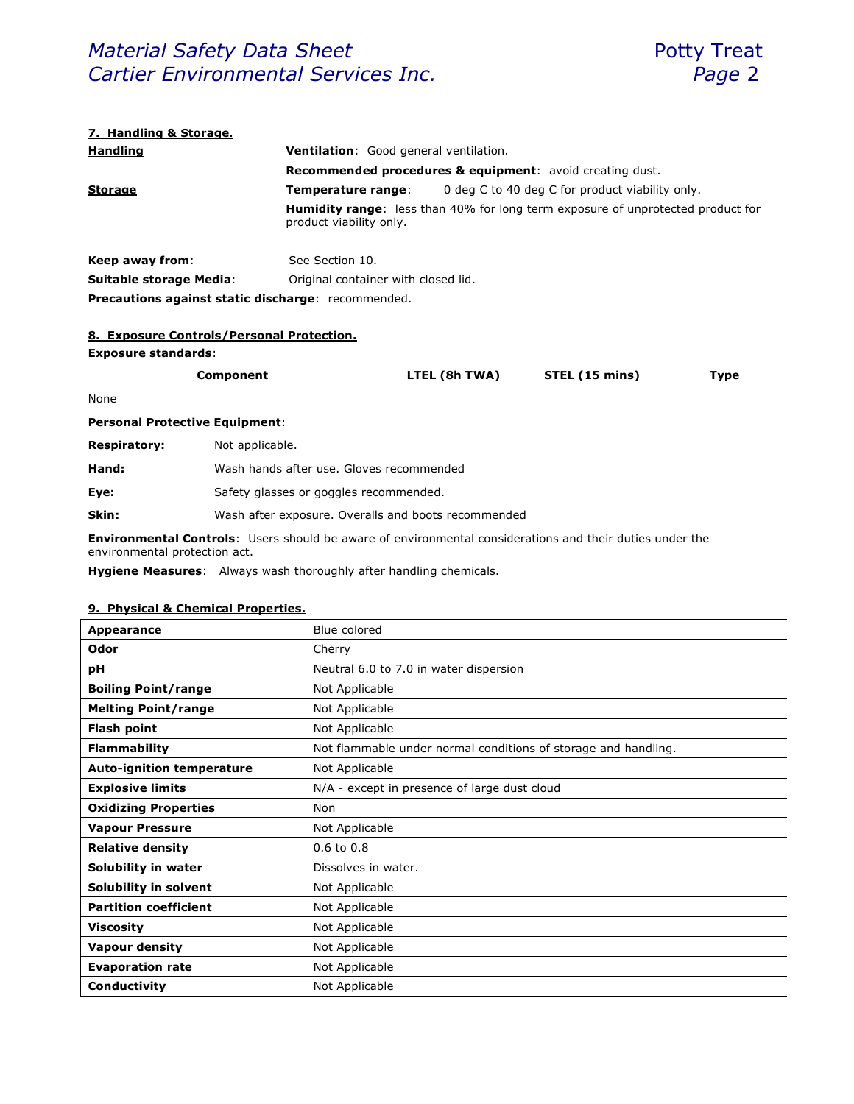#### **7. Handling & Storage.**

| <b>Handling</b>                                           | <b>Ventilation:</b> Good general ventilation.                       |                                                                                        |  |
|-----------------------------------------------------------|---------------------------------------------------------------------|----------------------------------------------------------------------------------------|--|
|                                                           | <b>Recommended procedures &amp; equipment:</b> avoid creating dust. |                                                                                        |  |
| <b>Storage</b>                                            | Temperature range:                                                  | 0 deg C to 40 deg C for product viability only.                                        |  |
|                                                           | product viability only.                                             | <b>Humidity range:</b> less than 40% for long term exposure of unprotected product for |  |
| Keep away from:                                           | See Section 10.                                                     |                                                                                        |  |
| Suitable storage Media:                                   | Original container with closed lid.                                 |                                                                                        |  |
| <b>Precautions against static discharge:</b> recommended. |                                                                     |                                                                                        |  |

#### **8. Exposure Controls/Personal Protection.**

#### **Exposure standards**:

| Component | LTEL (8h TWA) | STEL (15 mins) | Type |
|-----------|---------------|----------------|------|
|           |               |                |      |

None

**Personal Protective Equipment**:

| <b>Respiratory:</b> | Not applicable. |
|---------------------|-----------------|
|                     |                 |

| Hand: | Wash hands after use. Gloves recommended |  |
|-------|------------------------------------------|--|
|-------|------------------------------------------|--|

**Eye:** Safety glasses or goggles recommended.

**Skin:** Wash after exposure. Overalls and boots recommended

**Environmental Controls**: Users should be aware of environmental considerations and their duties under the environmental protection act.

**Hygiene Measures**: Always wash thoroughly after handling chemicals.

### **9. Physical & Chemical Properties.**

| Appearance                       | Blue colored                                                   |
|----------------------------------|----------------------------------------------------------------|
| Odor                             | Cherry                                                         |
| рH                               | Neutral 6.0 to 7.0 in water dispersion                         |
| <b>Boiling Point/range</b>       | Not Applicable                                                 |
| <b>Melting Point/range</b>       | Not Applicable                                                 |
| <b>Flash point</b>               | Not Applicable                                                 |
| <b>Flammability</b>              | Not flammable under normal conditions of storage and handling. |
| <b>Auto-ignition temperature</b> | Not Applicable                                                 |
| <b>Explosive limits</b>          | N/A - except in presence of large dust cloud                   |
| <b>Oxidizing Properties</b>      | Non                                                            |
| <b>Vapour Pressure</b>           | Not Applicable                                                 |
| <b>Relative density</b>          | $0.6$ to $0.8$                                                 |
| Solubility in water              | Dissolves in water.                                            |
| Solubility in solvent            | Not Applicable                                                 |
| <b>Partition coefficient</b>     | Not Applicable                                                 |
| <b>Viscosity</b>                 | Not Applicable                                                 |
| <b>Vapour density</b>            | Not Applicable                                                 |
| <b>Evaporation rate</b>          | Not Applicable                                                 |
| Conductivity                     | Not Applicable                                                 |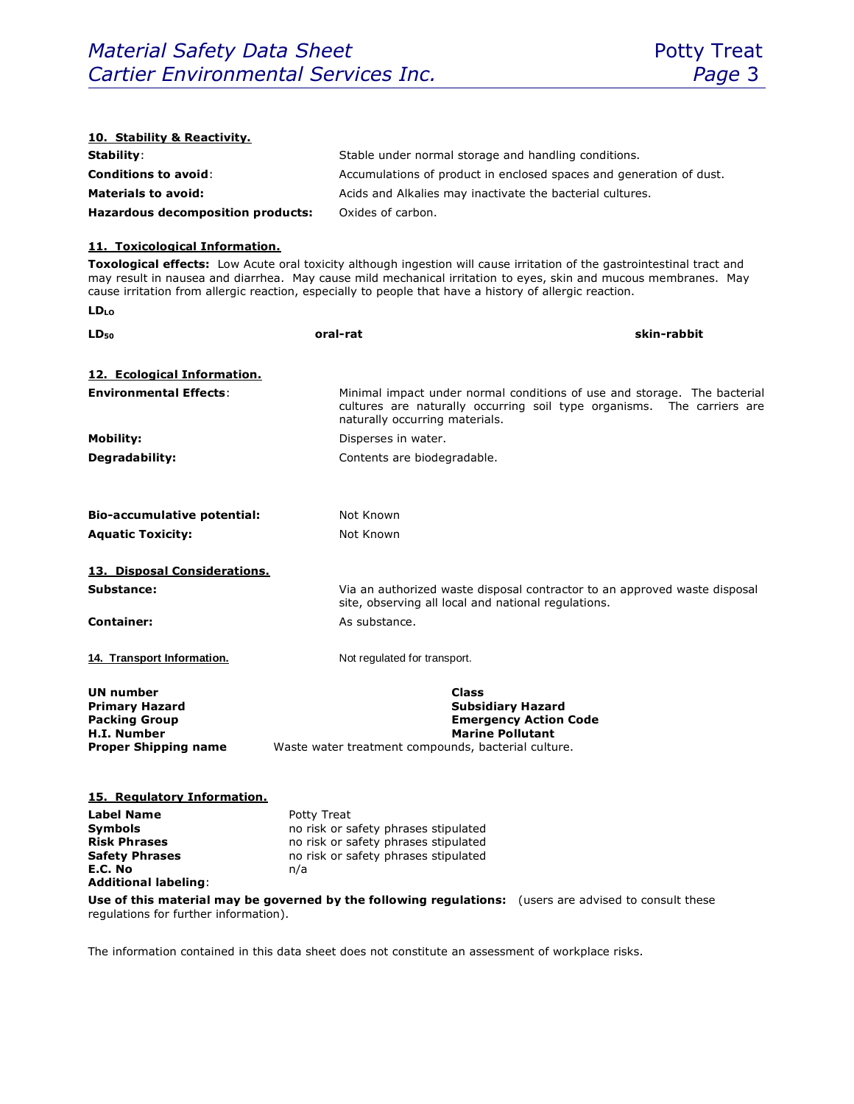| 10. Stability & Reactivity.                   |                                                                                                                                                                                                                                                                                                                                                       |
|-----------------------------------------------|-------------------------------------------------------------------------------------------------------------------------------------------------------------------------------------------------------------------------------------------------------------------------------------------------------------------------------------------------------|
| Stability:                                    | Stable under normal storage and handling conditions.                                                                                                                                                                                                                                                                                                  |
| <b>Conditions to avoid:</b>                   | Accumulations of product in enclosed spaces and generation of dust.                                                                                                                                                                                                                                                                                   |
| <b>Materials to avoid:</b>                    | Acids and Alkalies may inactivate the bacterial cultures.                                                                                                                                                                                                                                                                                             |
| <b>Hazardous decomposition products:</b>      | Oxides of carbon.                                                                                                                                                                                                                                                                                                                                     |
|                                               |                                                                                                                                                                                                                                                                                                                                                       |
| 11. Toxicological Information.                |                                                                                                                                                                                                                                                                                                                                                       |
|                                               | Toxological effects: Low Acute oral toxicity although ingestion will cause irritation of the gastrointestinal tract and<br>may result in nausea and diarrhea. May cause mild mechanical irritation to eyes, skin and mucous membranes. May<br>cause irritation from allergic reaction, especially to people that have a history of allergic reaction. |
| <b>LD</b> LO                                  |                                                                                                                                                                                                                                                                                                                                                       |
| LD <sub>50</sub>                              | skin-rabbit<br>oral-rat                                                                                                                                                                                                                                                                                                                               |
|                                               |                                                                                                                                                                                                                                                                                                                                                       |
| <u>12. Ecological Information.</u>            |                                                                                                                                                                                                                                                                                                                                                       |
| <b>Environmental Effects:</b>                 | Minimal impact under normal conditions of use and storage. The bacterial<br>cultures are naturally occurring soil type organisms. The carriers are<br>naturally occurring materials.                                                                                                                                                                  |
| Mobility:                                     | Disperses in water.                                                                                                                                                                                                                                                                                                                                   |
| Degradability:                                | Contents are biodegradable.                                                                                                                                                                                                                                                                                                                           |
|                                               |                                                                                                                                                                                                                                                                                                                                                       |
|                                               |                                                                                                                                                                                                                                                                                                                                                       |
| <b>Bio-accumulative potential:</b>            | Not Known                                                                                                                                                                                                                                                                                                                                             |
| <b>Aquatic Toxicity:</b>                      | Not Known                                                                                                                                                                                                                                                                                                                                             |
| 13. Disposal Considerations.                  |                                                                                                                                                                                                                                                                                                                                                       |
| Substance:                                    | Via an authorized waste disposal contractor to an approved waste disposal                                                                                                                                                                                                                                                                             |
|                                               | site, observing all local and national regulations.                                                                                                                                                                                                                                                                                                   |
| <b>Container:</b>                             | As substance.                                                                                                                                                                                                                                                                                                                                         |
|                                               |                                                                                                                                                                                                                                                                                                                                                       |
| 14. Transport Information.                    | Not regulated for transport.                                                                                                                                                                                                                                                                                                                          |
| <b>UN number</b>                              | <b>Class</b>                                                                                                                                                                                                                                                                                                                                          |
| <b>Primary Hazard</b>                         | <b>Subsidiary Hazard</b>                                                                                                                                                                                                                                                                                                                              |
| <b>Packing Group</b>                          | <b>Emergency Action Code</b>                                                                                                                                                                                                                                                                                                                          |
| H.I. Number<br><b>Proper Shipping name</b>    | <b>Marine Pollutant</b><br>Waste water treatment compounds, bacterial culture.                                                                                                                                                                                                                                                                        |
|                                               |                                                                                                                                                                                                                                                                                                                                                       |
|                                               |                                                                                                                                                                                                                                                                                                                                                       |
| 15. Regulatory Information.                   |                                                                                                                                                                                                                                                                                                                                                       |
| Label Name<br><b>Symbols</b>                  | Potty Treat<br>no risk or safety phrases stipulated                                                                                                                                                                                                                                                                                                   |
| <b>Risk Phrases</b>                           | no risk or safety phrases stipulated                                                                                                                                                                                                                                                                                                                  |
| <b>Safety Phrases</b>                         | no risk or safety phrases stipulated                                                                                                                                                                                                                                                                                                                  |
| E.C. No<br>n/a<br><b>Additional labeling:</b> |                                                                                                                                                                                                                                                                                                                                                       |
|                                               | Use of this material may be governed by the following regulations: (users are advised to consult these                                                                                                                                                                                                                                                |
| regulations for further information).         |                                                                                                                                                                                                                                                                                                                                                       |

The information contained in this data sheet does not constitute an assessment of workplace risks.